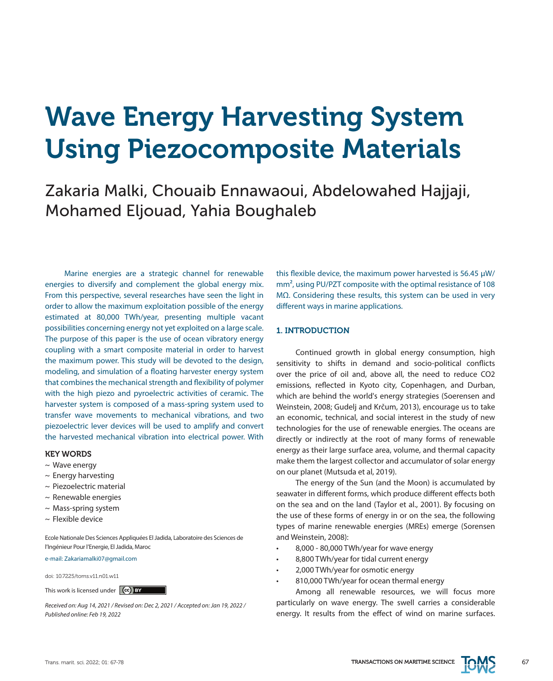# Wave Energy Harvesting System Using Piezocomposite Materials

Zakaria Malki, Chouaib Ennawaoui, Abdelowahed Hajjaji, Mohamed Eljouad, Yahia Boughaleb

Marine energies are a strategic channel for renewable energies to diversify and complement the global energy mix. From this perspective, several researches have seen the light in order to allow the maximum exploitation possible of the energy estimated at 80,000 TWh/year, presenting multiple vacant possibilities concerning energy not yet exploited on a large scale. The purpose of this paper is the use of ocean vibratory energy coupling with a smart composite material in order to harvest the maximum power. This study will be devoted to the design, modeling, and simulation of a floating harvester energy system that combines the mechanical strength and flexibility of polymer with the high piezo and pyroelectric activities of ceramic. The harvester system is composed of a mass-spring system used to transfer wave movements to mechanical vibrations, and two piezoelectric lever devices will be used to amplify and convert the harvested mechanical vibration into electrical power. With

## KEY WORDS

- $\sim$  Wave energy
- $\sim$  Energy harvesting
- ~ Piezoelectric material
- $\sim$  Renewable energies
- $\sim$  Mass-spring system
- $\sim$  Flexible device

Ecole Nationale Des Sciences Appliquées El Jadida, Laboratoire des Sciences de l'Ingénieur Pour l'Energie, El Jadida, Maroc

e-mail: Zakariamalki07@gmail.com

doi: 10.7225/toms.v11.n01.w11

This work is licensed under (cc) BY

*Received on: Aug 14, 2021 / Revised on: Dec 2, 2021 / Accepted on: Jan 19, 2022 / Published online: Feb 19, 2022*

this flexible device, the maximum power harvested is 56.45 μW/ mm<sup>2</sup>, using PU/PZT composite with the optimal resistance of 108 MΩ. Considering these results, this system can be used in very different ways in marine applications.

## 1. INTRODUCTION

Continued growth in global energy consumption, high sensitivity to shifts in demand and socio-political conflicts over the price of oil and, above all, the need to reduce CO2 emissions, reflected in Kyoto city, Copenhagen, and Durban, which are behind the world's energy strategies (Soerensen and Weinstein, 2008; Gudelj and Krčum, 2013), encourage us to take an economic, technical, and social interest in the study of new technologies for the use of renewable energies. The oceans are directly or indirectly at the root of many forms of renewable energy as their large surface area, volume, and thermal capacity make them the largest collector and accumulator of solar energy on our planet (Mutsuda et al, 2019).

The energy of the Sun (and the Moon) is accumulated by seawater in different forms, which produce different effects both on the sea and on the land (Taylor et al., 2001). By focusing on the use of these forms of energy in or on the sea, the following types of marine renewable energies (MREs) emerge (Sorensen and Weinstein, 2008):

- 8,000 80,000 TWh/year for wave energy
- 8,800 TWh/year for tidal current energy
- 2,000 TWh/year for osmotic energy
- 810,000 TWh/year for ocean thermal energy

Among all renewable resources, we will focus more particularly on wave energy. The swell carries a considerable energy. It results from the effect of wind on marine surfaces.

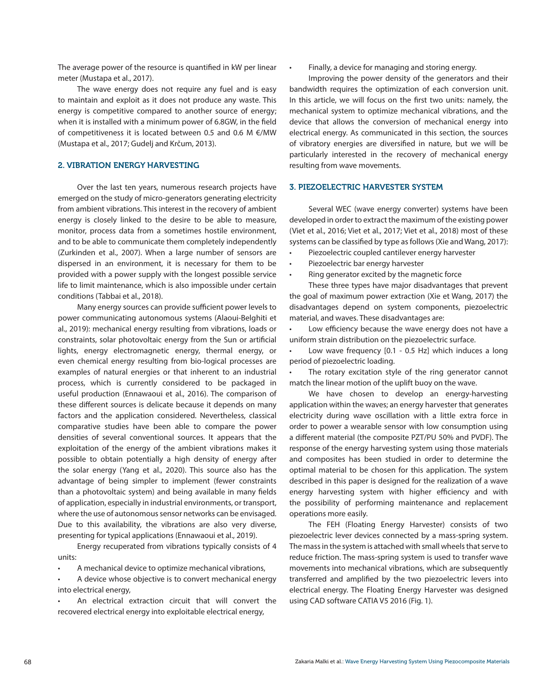The average power of the resource is quantified in kW per linear meter (Mustapa et al., 2017).

The wave energy does not require any fuel and is easy to maintain and exploit as it does not produce any waste. This energy is competitive compared to another source of energy; when it is installed with a minimum power of 6.8GW, in the field of competitiveness it is located between 0.5 and 0.6 M €/MW (Mustapa et al., 2017; Gudelj and Krčum, 2013).

## 2. VIBRATION ENERGY HARVESTING

Over the last ten years, numerous research projects have emerged on the study of micro-generators generating electricity from ambient vibrations. This interest in the recovery of ambient energy is closely linked to the desire to be able to measure, monitor, process data from a sometimes hostile environment, and to be able to communicate them completely independently (Zurkinden et al., 2007). When a large number of sensors are dispersed in an environment, it is necessary for them to be provided with a power supply with the longest possible service life to limit maintenance, which is also impossible under certain conditions (Tabbai et al., 2018).

Many energy sources can provide sufficient power levels to power communicating autonomous systems (Alaoui-Belghiti et al., 2019): mechanical energy resulting from vibrations, loads or constraints, solar photovoltaic energy from the Sun or artificial lights, energy electromagnetic energy, thermal energy, or even chemical energy resulting from bio-logical processes are examples of natural energies or that inherent to an industrial process, which is currently considered to be packaged in useful production (Ennawaoui et al., 2016). The comparison of these different sources is delicate because it depends on many factors and the application considered. Nevertheless, classical comparative studies have been able to compare the power densities of several conventional sources. It appears that the exploitation of the energy of the ambient vibrations makes it possible to obtain potentially a high density of energy after the solar energy (Yang et al., 2020). This source also has the advantage of being simpler to implement (fewer constraints than a photovoltaic system) and being available in many fields of application, especially in industrial environments, or transport, where the use of autonomous sensor networks can be envisaged. Due to this availability, the vibrations are also very diverse, presenting for typical applications (Ennawaoui et al., 2019).

Energy recuperated from vibrations typically consists of 4 units:

• A mechanical device to optimize mechanical vibrations,

A device whose objective is to convert mechanical energy into electrical energy,

An electrical extraction circuit that will convert the recovered electrical energy into exploitable electrical energy,

• Finally, a device for managing and storing energy.

Improving the power density of the generators and their bandwidth requires the optimization of each conversion unit. In this article, we will focus on the first two units: namely, the mechanical system to optimize mechanical vibrations, and the device that allows the conversion of mechanical energy into electrical energy. As communicated in this section, the sources of vibratory energies are diversified in nature, but we will be particularly interested in the recovery of mechanical energy resulting from wave movements.

## 3. PIEZOELECTRIC HARVESTER SYSTEM

Several WEC (wave energy converter) systems have been developed in order to extract the maximum of the existing power (Viet et al., 2016; Viet et al., 2017; Viet et al., 2018) most of these systems can be classified by type as follows (Xie and Wang, 2017):

- Piezoelectric coupled cantilever energy harvester
- Piezoelectric bar energy harvester
- Ring generator excited by the magnetic force

These three types have major disadvantages that prevent the goal of maximum power extraction (Xie et Wang, 2017) the disadvantages depend on system components, piezoelectric material, and waves. These disadvantages are:

• Low efficiency because the wave energy does not have a uniform strain distribution on the piezoelectric surface.

Low wave frequency [0.1 - 0.5 Hz] which induces a long period of piezoelectric loading.

The rotary excitation style of the ring generator cannot match the linear motion of the uplift buoy on the wave.

We have chosen to develop an energy-harvesting application within the waves; an energy harvester that generates electricity during wave oscillation with a little extra force in order to power a wearable sensor with low consumption using a different material (the composite PZT/PU 50% and PVDF). The response of the energy harvesting system using those materials and composites has been studied in order to determine the optimal material to be chosen for this application. The system described in this paper is designed for the realization of a wave energy harvesting system with higher efficiency and with the possibility of performing maintenance and replacement operations more easily.

The FEH (Floating Energy Harvester) consists of two piezoelectric lever devices connected by a mass-spring system. The mass in the system is attached with small wheels that serve to reduce friction. The mass-spring system is used to transfer wave movements into mechanical vibrations, which are subsequently transferred and amplified by the two piezoelectric levers into electrical energy. The Floating Energy Harvester was designed using CAD software CATIA V5 2016 (Fig. 1).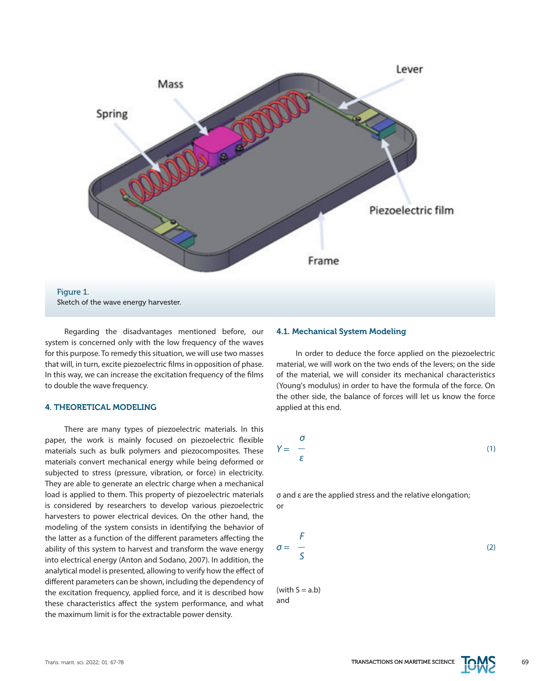

Regarding the disadvantages mentioned before, our system is concerned only with the low frequency of the waves for this purpose. To remedy this situation, we will use two masses that will, in turn, excite piezoelectric films in opposition of phase. In this way, we can increase the excitation frequency of the films to double the wave frequency.

# 4. THEORETICAL MODELING

There are many types of piezoelectric materials. In this paper, the work is mainly focused on piezoelectric flexible materials such as bulk polymers and piezocomposites. These materials convert mechanical energy while being deformed or subjected to stress (pressure, vibration, or force) in electricity. They are able to generate an electric charge when a mechanical load is applied to them. This property of piezoelectric materials is considered by researchers to develop various piezoelectric harvesters to power electrical devices. On the other hand, the modeling of the system consists in identifying the behavior of the latter as a function of the different parameters affecting the ability of this system to harvest and transform the wave energy into electrical energy (Anton and Sodano, 2007). In addition, the analytical model is presented, allowing to verify how the effect of different parameters can be shown, including the dependency of the excitation frequency, applied force, and it is described how these characteristics affect the system performance, and what the maximum limit is for the extractable power density.

## 4.1. Mechanical System Modeling

In order to deduce the force applied on the piezoelectric material, we will work on the two ends of the levers; on the side of the material, we will consider its mechanical characteristics (Young's modulus) in order to have the formula of the force. On the other side, the balance of forces will let us know the force applied at this end.

$$
Y = \frac{\sigma}{\varepsilon} \tag{1}
$$

σ and ε are the applied stress and the relative elongation; or

$$
\sigma = \frac{F}{S} \tag{2}
$$

 $(with S = a.b)$ and

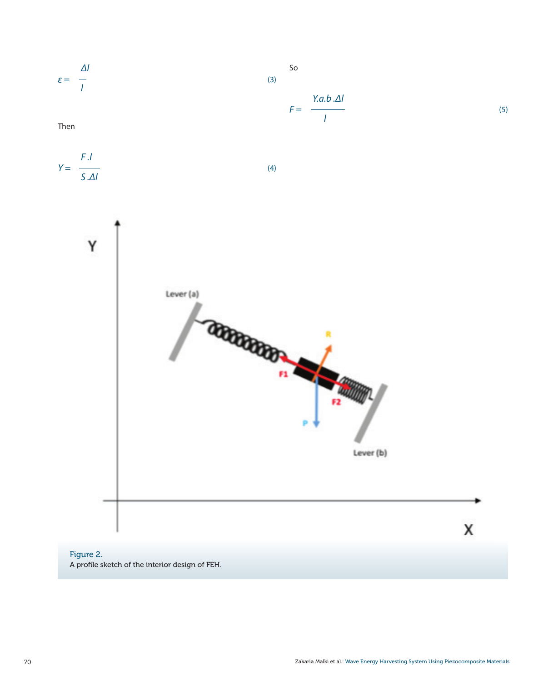

# Figure 2. A profile sketch of the interior design of FEH.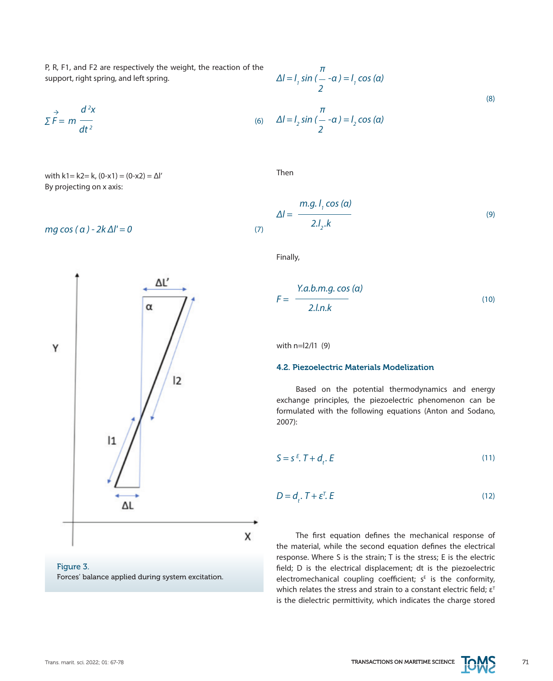$$
\sum \vec{F} = m \frac{d^2 x}{dt^2}
$$
 (6)

with k1= k2= k,  $(0-x1) = (0-x2) = Δl'$ By projecting on x axis:

$$
mg\cos(\alpha) - 2k\Delta l' = 0\tag{7}
$$



## Figure 3. Forces' balance applied during system excitation.

$$
\Delta l = l_1 \sin \left( \frac{\pi}{2} - \alpha \right) = l_1 \cos \left( \alpha \right)
$$
  

$$
\Delta l = l_2 \sin \left( \frac{\pi}{2} - \alpha \right) = l_2 \cos \left( \alpha \right)
$$
 (8)

Then

$$
\Delta l = \frac{m.g. l_1 \cos(\alpha)}{2.l_2.k}
$$
 (9)

Finally,

$$
F = \frac{Y.a.b.m.g.\cos{(\alpha)}}{2.l.n.k}
$$
 (10)

with n=l2/l1 (9)

## 4.2. Piezoelectric Materials Modelization

Based on the potential thermodynamics and energy exchange principles, the piezoelectric phenomenon can be formulated with the following equations (Anton and Sodano, 2007):

$$
S = s^E. T + d_t. E \tag{11}
$$

$$
D = d_t \cdot T + \varepsilon^T \cdot E \tag{12}
$$

The first equation defines the mechanical response of the material, while the second equation defines the electrical response. Where S is the strain; T is the stress; E is the electric field; D is the electrical displacement; dt is the piezoelectric electromechanical coupling coefficient;  $s<sup>E</sup>$  is the conformity, which relates the stress and strain to a constant electric field;  $\varepsilon^{\text{T}}$ is the dielectric permittivity, which indicates the charge stored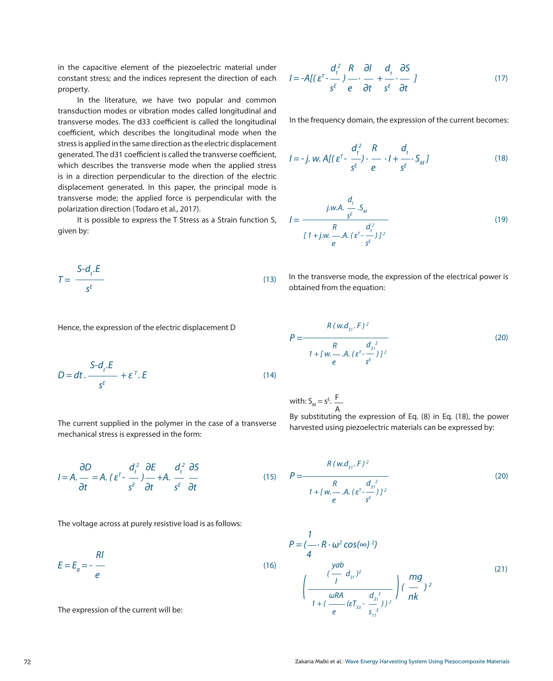in the capacitive element of the piezoelectric material under constant stress; and the indices represent the direction of each property.

In the literature, we have two popular and common transduction modes or vibration modes called longitudinal and transverse modes. The d33 coefficient is called the longitudinal coefficient, which describes the longitudinal mode when the stress is applied in the same direction as the electric displacement generated. The d31 coefficient is called the transverse coefficient, which describes the transverse mode when the applied stress is in a direction perpendicular to the direction of the electric displacement generated. In this paper, the principal mode is transverse mode; the applied force is perpendicular with the polarization direction (Todaro et al., 2017).

It is possible to express the T Stress as a Strain function S, given by:

$$
T = \frac{S - d_t.E}{s^E}
$$

$$
I = -A[(\varepsilon^{T} - \frac{d_{t}^{2}}{s^{E}}) - \frac{d_{t}}{s^{E}} - \frac{d_{t}}{s^{E}} \cdot \frac{\partial S}{\partial t}]
$$
(17)

In the frequency domain, the expression of the current becomes:

$$
I = -j. \ w. \ A \left[ \left( \varepsilon^{T} - \frac{d_{t}^{2}}{s^{E}} \right) \cdot \frac{R}{e} \cdot I + \frac{d_{t}}{s^{E}} \cdot S_{M} \right] \tag{18}
$$

$$
I = \frac{j.w.A. \frac{d_t}{s^E} . S_M}{\int_{R} [1 + j.w. - A. (\varepsilon^T - \frac{d_t^2}{s^E})]^2}
$$
(19)

In the transverse mode, the expression of the electrical power is obtained from the equation:

Hence, the expression of the electric displacement D

$$
D = dt \cdot \frac{S - d_t \cdot E}{s^E} + \varepsilon^T \cdot E \tag{14}
$$

with: 
$$
S_M = s^E
$$
.  
The current supplied in the polymer in the case of a transverse

(13)

*P =* (20) *R* ( w.d<sub>31</sub> . F ) <sup>2</sup> *R*  $d_{31}^2$ <br>  $1 + [w_1, w_2, w_3, w_4]$ *sE R e*

F A

ng the expression of Eq. (8) in Eq. (18), the power harvested using piezoelectric materials can be expressed by:

$$
I = A. \frac{\partial D}{\partial t} = A. (\varepsilon^{T} - \frac{d_{t}^{2}}{s^{E}}) \frac{\partial E}{\partial t} + A. \frac{d_{t}^{2}}{s^{E}} \frac{\partial S}{\partial t}
$$

mechanical stress is expressed in the form:

The voltage across at purely resistive load is as follows:

$$
E = E_R = -\frac{Rl}{e}
$$
 (16)

The expression of the current will be:

(15) 
$$
P = \frac{R (w.d_{31}, F)^2}{\frac{R}{1 + [w. - A, (\varepsilon^T - \frac{d_{31}^2}{s^F})]^2}}
$$
 (20)

$$
P = \left(\frac{1}{4} \cdot R \cdot \omega^{2} \cos(\infty)^{2}\right)
$$
\n
$$
\left(\frac{\frac{vab}{1}}{1 + \left(\frac{\omega RA}{e} (\epsilon T_{33} - \frac{d_{31}^{2}}{s_{11}^{2}})\right)^{2}}\right) \left(\frac{mg}{nk}\right)^{2}
$$
\n(21)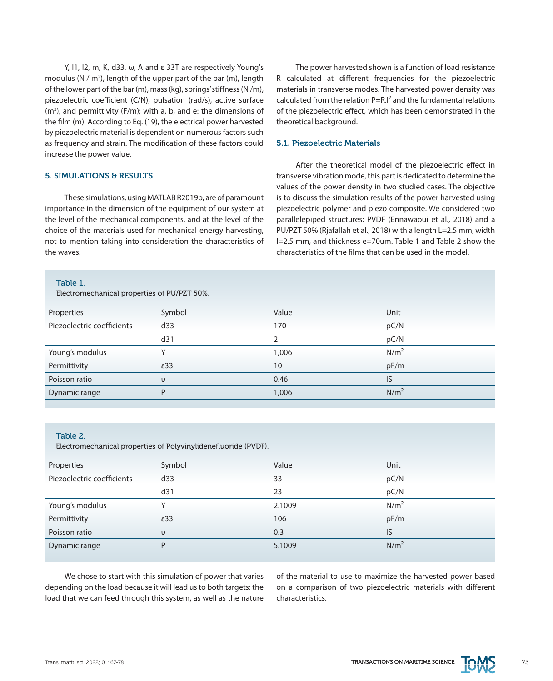Y, l1, l2, m, K, d33, ω, A and ε 33T are respectively Young's modulus (N / m<sup>2</sup>), length of the upper part of the bar (m), length of the lower part of the bar (m), mass (kg), springs' stiffness (N /m), piezoelectric coefficient (C/N), pulsation (rad/s), active surface  $(m<sup>2</sup>)$ , and permittivity (F/m); with a, b, and e: the dimensions of the film (m). According to Eq. (19), the electrical power harvested by piezoelectric material is dependent on numerous factors such as frequency and strain. The modification of these factors could increase the power value.

## 5. SIMULATIONS & RESULTS

These simulations, using MATLAB R2019b, are of paramount importance in the dimension of the equipment of our system at the level of the mechanical components, and at the level of the choice of the materials used for mechanical energy harvesting, not to mention taking into consideration the characteristics of the waves.

## Table 1.

Electromechanical properties of PU/PZT 50%.

The power harvested shown is a function of load resistance R calculated at different frequencies for the piezoelectric materials in transverse modes. The harvested power density was calculated from the relation  $P=R.I^2$  and the fundamental relations of the piezoelectric effect, which has been demonstrated in the theoretical background.

## 5.1. Piezoelectric Materials

After the theoretical model of the piezoelectric effect in transverse vibration mode, this part is dedicated to determine the values of the power density in two studied cases. The objective is to discuss the simulation results of the power harvested using piezoelectric polymer and piezo composite. We considered two parallelepiped structures: PVDF (Ennawaoui et al., 2018) and a PU/PZT 50% (Rjafallah et al., 2018) with a length L=2.5 mm, width l=2.5 mm, and thickness e=70um. Table 1 and Table 2 show the characteristics of the films that can be used in the model.

| Properties                 | Symbol        | Value | Unit             |
|----------------------------|---------------|-------|------------------|
| Piezoelectric coefficients | d33           | 170   | pC/N             |
|                            | d31           |       | pC/N             |
| Young's modulus            | $\checkmark$  | 1,006 | N/m <sup>2</sup> |
| Permittivity               | $\epsilon$ 33 | 10    | pF/m             |
| Poisson ratio              | υ             | 0.46  | IS               |
| Dynamic range              | P             | 1,006 | N/m <sup>2</sup> |
|                            |               |       |                  |

#### Table 2.

Electromechanical properties of Polyvinylidenefluoride (PVDF).

| Properties                 | Symbol        | Value  | Unit             |
|----------------------------|---------------|--------|------------------|
| Piezoelectric coefficients | d33           | 33     | pC/N             |
|                            | d31           | 23     | pC/N             |
| Young's modulus            |               | 2.1009 | N/m <sup>2</sup> |
| Permittivity               | $\epsilon$ 33 | 106    | pF/m             |
| Poisson ratio              | $\cup$        | 0.3    | IS               |
| Dynamic range              | P             | 5.1009 | N/m <sup>2</sup> |
|                            |               |        |                  |

We chose to start with this simulation of power that varies depending on the load because it will lead us to both targets: the load that we can feed through this system, as well as the nature of the material to use to maximize the harvested power based on a comparison of two piezoelectric materials with different characteristics.

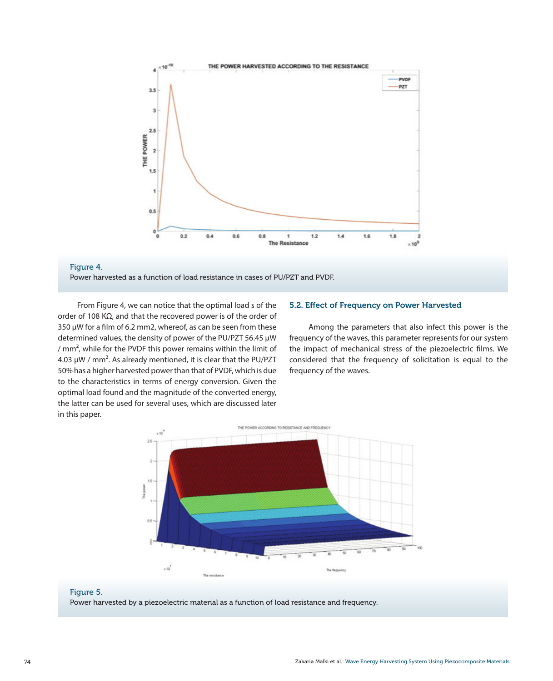

#### Figure 4.

Power harvested as a function of load resistance in cases of PU/PZT and PVDF.

From Figure 4, we can notice that the optimal load s of the order of 108 KΩ, and that the recovered power is of the order of 350 μW for a film of 6.2 mm2, whereof, as can be seen from these determined values, the density of power of the PU/PZT 56.45 μW / mm², while for the PVDF this power remains within the limit of 4.03 μW / mm². As already mentioned, it is clear that the PU/PZT 50% has a higher harvested power than that of PVDF, which is due to the characteristics in terms of energy conversion. Given the optimal load found and the magnitude of the converted energy, the latter can be used for several uses, which are discussed later in this paper.

## 5.2. Effect of Frequency on Power Harvested

Among the parameters that also infect this power is the frequency of the waves, this parameter represents for our system the impact of mechanical stress of the piezoelectric films. We considered that the frequency of solicitation is equal to the frequency of the waves.





Power harvested by a piezoelectric material as a function of load resistance and frequency.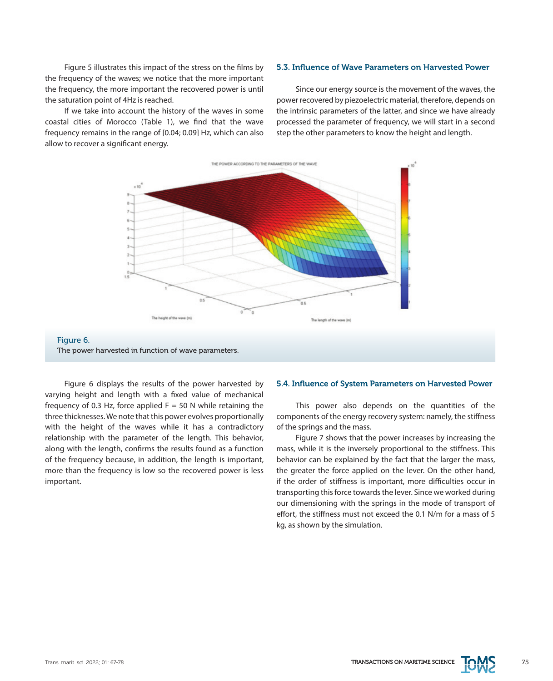Figure 5 illustrates this impact of the stress on the films by the frequency of the waves; we notice that the more important the frequency, the more important the recovered power is until the saturation point of 4Hz is reached.

If we take into account the history of the waves in some coastal cities of Morocco (Table 1), we find that the wave frequency remains in the range of [0.04; 0.09] Hz, which can also allow to recover a significant energy.

#### 5.3. Influence of Wave Parameters on Harvested Power

Since our energy source is the movement of the waves, the power recovered by piezoelectric material, therefore, depends on the intrinsic parameters of the latter, and since we have already processed the parameter of frequency, we will start in a second step the other parameters to know the height and length.



Figure 6. The power harvested in function of wave parameters.

Figure 6 displays the results of the power harvested by varying height and length with a fixed value of mechanical frequency of 0.3 Hz, force applied  $F = 50$  N while retaining the three thicknesses. We note that this power evolves proportionally with the height of the waves while it has a contradictory relationship with the parameter of the length. This behavior, along with the length, confirms the results found as a function of the frequency because, in addition, the length is important, more than the frequency is low so the recovered power is less important.

#### 5.4. Influence of System Parameters on Harvested Power

This power also depends on the quantities of the components of the energy recovery system: namely, the stiffness of the springs and the mass.

Figure 7 shows that the power increases by increasing the mass, while it is the inversely proportional to the stiffness. This behavior can be explained by the fact that the larger the mass, the greater the force applied on the lever. On the other hand, if the order of stiffness is important, more difficulties occur in transporting this force towards the lever. Since we worked during our dimensioning with the springs in the mode of transport of effort, the stiffness must not exceed the 0.1 N/m for a mass of 5 kg, as shown by the simulation.

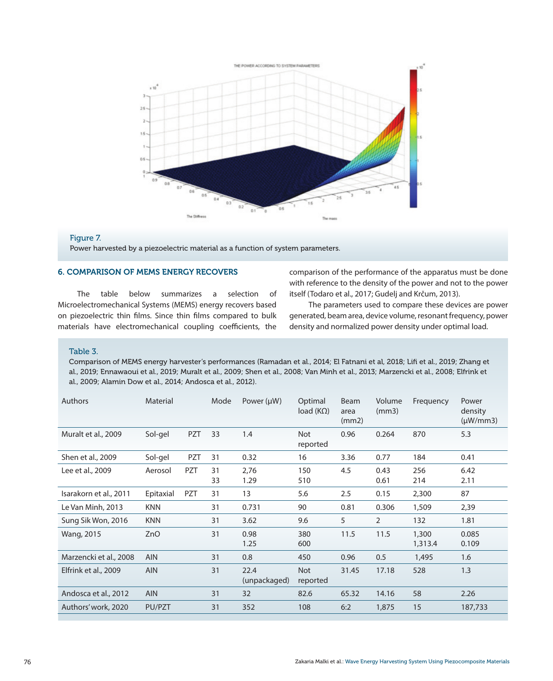

## Figure 7.

Power harvested by a piezoelectric material as a function of system parameters.

## 6. COMPARISON OF MEMS ENERGY RECOVERS

The table below summarizes a selection of Microelectromechanical Systems (MEMS) energy recovers based on piezoelectric thin films. Since thin films compared to bulk materials have electromechanical coupling coefficients, the comparison of the performance of the apparatus must be done with reference to the density of the power and not to the power itself (Todaro et al., 2017; Gudelj and Krčum, 2013).

The parameters used to compare these devices are power generated, beam area, device volume, resonant frequency, power density and normalized power density under optimal load.

#### Table 3.

Comparison of MEMS energy harvester's performances (Ramadan et al., 2014; El Fatnani et al, 2018; Lifi et al., 2019; Zhang et al., 2019; Ennawaoui et al., 2019; Muralt et al., 2009; Shen et al., 2008; Van Minh et al., 2013; Marzencki et al., 2008; Elfrink et al., 2009; Alamin Dow et al., 2014; Andosca et al., 2012).

| Authors                | Material   |            | Mode     | Power $(\mu W)$      | Optimal<br>load $(K\Omega)$ | Beam<br>area<br>(mm2) | Volume<br>(mm3) | Frequency        | Power<br>density<br>$(\mu W/mm3)$ |
|------------------------|------------|------------|----------|----------------------|-----------------------------|-----------------------|-----------------|------------------|-----------------------------------|
| Muralt et al., 2009    | Sol-gel    | PZT        | 33       | 1.4                  | <b>Not</b><br>reported      | 0.96                  | 0.264           | 870              | 5.3                               |
| Shen et al., 2009      | Sol-gel    | PZT        | 31       | 0.32                 | 16                          | 3.36                  | 0.77            | 184              | 0.41                              |
| Lee et al., 2009       | Aerosol    | <b>PZT</b> | 31<br>33 | 2,76<br>1.29         | 150<br>510                  | 4.5                   | 0.43<br>0.61    | 256<br>214       | 6.42<br>2.11                      |
| Isarakorn et al., 2011 | Epitaxial  | PZT        | 31       | 13                   | 5.6                         | 2.5                   | 0.15            | 2,300            | 87                                |
| Le Van Minh, 2013      | <b>KNN</b> |            | 31       | 0.731                | 90                          | 0.81                  | 0.306           | 1,509            | 2,39                              |
| Sung Sik Won, 2016     | <b>KNN</b> |            | 31       | 3.62                 | 9.6                         | 5                     | $\overline{2}$  | 132              | 1.81                              |
| Wang, 2015             | ZnO        |            | 31       | 0.98<br>1.25         | 380<br>600                  | 11.5                  | 11.5            | 1,300<br>1,313.4 | 0.085<br>0.109                    |
| Marzencki et al., 2008 | <b>AIN</b> |            | 31       | 0.8                  | 450                         | 0.96                  | 0.5             | 1,495            | 1.6                               |
| Elfrink et al., 2009   | <b>AIN</b> |            | 31       | 22.4<br>(unpackaged) | <b>Not</b><br>reported      | 31.45                 | 17.18           | 528              | 1.3                               |
| Andosca et al., 2012   | <b>AIN</b> |            | 31       | 32                   | 82.6                        | 65.32                 | 14.16           | 58               | 2.26                              |
| Authors' work, 2020    | PU/PZT     |            | 31       | 352                  | 108                         | 6:2                   | 1,875           | 15               | 187,733                           |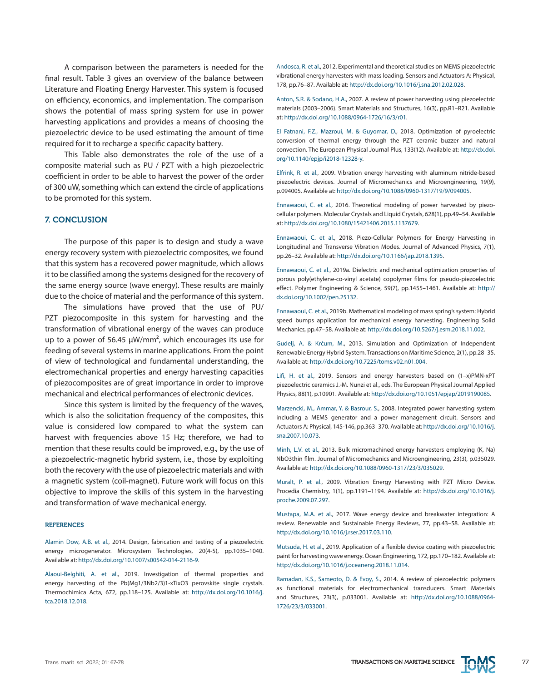A comparison between the parameters is needed for the final result. Table 3 gives an overview of the balance between Literature and Floating Energy Harvester. This system is focused on efficiency, economics, and implementation. The comparison shows the potential of mass spring system for use in power harvesting applications and provides a means of choosing the piezoelectric device to be used estimating the amount of time required for it to recharge a specific capacity battery.

This Table also demonstrates the role of the use of a composite material such as PU / PZT with a high piezoelectric coefficient in order to be able to harvest the power of the order of 300 uW, something which can extend the circle of applications to be promoted for this system.

#### 7. CONCLUSION

The purpose of this paper is to design and study a wave energy recovery system with piezoelectric composites, we found that this system has a recovered power magnitude, which allows it to be classified among the systems designed for the recovery of the same energy source (wave energy). These results are mainly due to the choice of material and the performance of this system.

The simulations have proved that the use of PU/ PZT piezocomposite in this system for harvesting and the transformation of vibrational energy of the waves can produce up to a power of 56.45  $\mu$ W/mm<sup>2</sup>, which encourages its use for feeding of several systems in marine applications. From the point of view of technological and fundamental understanding, the electromechanical properties and energy harvesting capacities of piezocomposites are of great importance in order to improve mechanical and electrical performances of electronic devices.

Since this system is limited by the frequency of the waves, which is also the solicitation frequency of the composites, this value is considered low compared to what the system can harvest with frequencies above 15 Hz; therefore, we had to mention that these results could be improved, e.g., by the use of a piezoelectric-magnetic hybrid system, i.e., those by exploiting both the recovery with the use of piezoelectric materials and with a magnetic system (coil-magnet). Future work will focus on this objective to improve the skills of this system in the harvesting and transformation of wave mechanical energy.

#### **REFERENCES**

Alamin Dow, A.B. et al., 2014. Design, fabrication and testing of a piezoelectric energy microgenerator. Microsystem Technologies, 20(4-5), pp.1035–1040. Available at:<http://dx.doi.org/10.1007/s00542-014-2116-9>.

Alaoui-Belghiti, A. et al., 2019. Investigation of thermal properties and energy harvesting of the Pb(Mg1/3Nb2/3)1-xTixO3 perovskite single crystals. Thermochimica Acta, 672, pp.118–125. Available at: [http://dx.doi.org/10.1016/j.](http://dx.doi.org/10.1016/j.tca.2018.12.018) [tca.2018.12.018](http://dx.doi.org/10.1016/j.tca.2018.12.018).

Andosca, R. et al., 2012. Experimental and theoretical studies on MEMS piezoelectric vibrational energy harvesters with mass loading. Sensors and Actuators A: Physical, 178, pp.76–87. Available at:<http://dx.doi.org/10.1016/j.sna.2012.02.028>.

Anton, S.R. & Sodano, H.A., 2007. A review of power harvesting using piezoelectric materials (2003–2006). Smart Materials and Structures, 16(3), pp.R1–R21. Available at: [http://dx.doi.org/10.1088/0964-1726/16/3/r01.](http://dx.doi.org/10.1088/0964-1726/16/3/r01)

El Fatnani, F.Z., Mazroui, M. & Guyomar, D., 2018. Optimization of pyroelectric conversion of thermal energy through the PZT ceramic buzzer and natural convection. The European Physical Journal Plus, 133(12). Available at: [http://dx.doi.](http://dx.doi.org/10.1140/epjp/i2018-12328-y) [org/10.1140/epjp/i2018-12328-y](http://dx.doi.org/10.1140/epjp/i2018-12328-y).

Elfrink, R. et al., 2009. Vibration energy harvesting with aluminum nitride-based piezoelectric devices. Journal of Micromechanics and Microengineering, 19(9), p.094005. Available at: [http://dx.doi.org/10.1088/0960-1317/19/9/094005.](http://dx.doi.org/10.1088/0960-1317/19/9/094005)

Ennawaoui, C. et al., 2016. Theoretical modeling of power harvested by piezocellular polymers. Molecular Crystals and Liquid Crystals, 628(1), pp.49–54. Available at:<http://dx.doi.org/10.1080/15421406.2015.1137679>.

Ennawaoui, C. et al., 2018. Piezo-Cellular Polymers for Energy Harvesting in Longitudinal and Transverse Vibration Modes. Journal of Advanced Physics, 7(1), pp.26–32. Available at: <http://dx.doi.org/10.1166/jap.2018.1395>.

Ennawaoui, C. et al., 2019a. Dielectric and mechanical optimization properties of porous poly(ethylene‐co‐vinyl acetate) copolymer films for pseudo‐piezoelectric effect. Polymer Engineering & Science, 59(7), pp.1455–1461. Available at: [http://](http://dx.doi.org/10.1002/pen.25132) [dx.doi.org/10.1002/pen.25132.](http://dx.doi.org/10.1002/pen.25132)

Ennawaoui, C. et al., 2019b. Mathematical modeling of mass spring's system: Hybrid speed bumps application for mechanical energy harvesting. Engineering Solid Mechanics, pp.47–58. Available at:<http://dx.doi.org/10.5267/j.esm.2018.11.002>.

Gudelj, A. & Krčum, M., 2013. Simulation and Optimization of Independent Renewable Energy Hybrid System. Transactions on Maritime Science, 2(1), pp.28–35. Available at: [http://dx.doi.org/10.7225/toms.v02.n01.004.](http://dx.doi.org/10.7225/toms.v02.n01.004)

Lifi, H. et al., 2019. Sensors and energy harvesters based on (1–x)PMN-xPT piezoelectric ceramics J.-M. Nunzi et al., eds. The European Physical Journal Applied Physics, 88(1), p.10901. Available at:<http://dx.doi.org/10.1051/epjap/2019190085>.

Marzencki, M., Ammar, Y. & Basrour, S., 2008. Integrated power harvesting system including a MEMS generator and a power management circuit. Sensors and Actuators A: Physical, 145-146, pp.363–370. Available at: [http://dx.doi.org/10.1016/j.](http://dx.doi.org/10.1016/j.sna.2007.10.073) [sna.2007.10.073](http://dx.doi.org/10.1016/j.sna.2007.10.073).

Minh, L.V. et al., 2013. Bulk micromachined energy harvesters employing (K, Na) NbO3thin film. Journal of Micromechanics and Microengineering, 23(3), p.035029. Available at: [http://dx.doi.org/10.1088/0960-1317/23/3/035029.](http://dx.doi.org/10.1088/0960-1317/23/3/035029)

Muralt, P. et al., 2009. Vibration Energy Harvesting with PZT Micro Device. Procedia Chemistry, 1(1), pp.1191–1194. Available at: [http://dx.doi.org/10.1016/j.](http://dx.doi.org/10.1016/j.proche.2009.07.297) [proche.2009.07.297.](http://dx.doi.org/10.1016/j.proche.2009.07.297)

Mustapa, M.A. et al., 2017. Wave energy device and breakwater integration: A review. Renewable and Sustainable Energy Reviews, 77, pp.43–58. Available at: [http://dx.doi.org/10.1016/j.rser.2017.03.110.](http://dx.doi.org/10.1016/j.rser.2017.03.110)

Mutsuda, H. et al., 2019. Application of a flexible device coating with piezoelectric paint for harvesting wave energy. Ocean Engineering, 172, pp.170–182. Available at: <http://dx.doi.org/10.1016/j.oceaneng.2018.11.014>.

Ramadan, K.S., Sameoto, D. & Evoy, S., 2014. A review of piezoelectric polymers as functional materials for electromechanical transducers. Smart Materials and Structures, 23(3), p.033001. Available at: [http://dx.doi.org/10.1088/0964-](http://dx.doi.org/10.1088/0964-1726/23/3/033001) [1726/23/3/033001.](http://dx.doi.org/10.1088/0964-1726/23/3/033001)